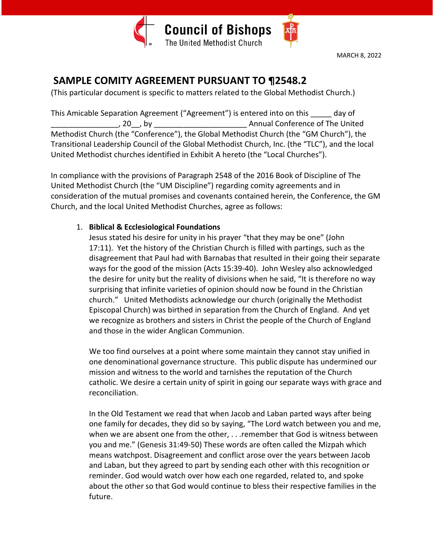

# **SAMPLE COMITY AGREEMENT PURSUANT TO ¶2548.2**

(This particular document is specific to matters related to the Global Methodist Church.)

This Amicable Separation Agreement ("Agreement") is entered into on this \_\_\_\_\_ day of \_\_\_\_\_\_\_\_\_\_\_\_\_\_\_\_, 20\_\_, by \_\_\_\_\_\_\_\_\_\_\_\_\_\_\_\_\_\_\_\_\_\_ Annual Conference of The United Methodist Church (the "Conference"), the Global Methodist Church (the "GM Church"), the Transitional Leadership Council of the Global Methodist Church, Inc. (the "TLC"), and the local United Methodist churches identified in Exhibit A hereto (the "Local Churches").

In compliance with the provisions of Paragraph 2548 of the 2016 Book of Discipline of The United Methodist Church (the "UM Discipline") regarding comity agreements and in consideration of the mutual promises and covenants contained herein, the Conference, the GM Church, and the local United Methodist Churches, agree as follows:

## 1. **Biblical & Ecclesiological Foundations**

Jesus stated his desire for unity in his prayer "that they may be one" (John 17:11). Yet the history of the Christian Church is filled with partings, such as the disagreement that Paul had with Barnabas that resulted in their going their separate ways for the good of the mission (Acts 15:39-40). John Wesley also acknowledged the desire for unity but the reality of divisions when he said, "It is therefore no way surprising that infinite varieties of opinion should now be found in the Christian church." United Methodists acknowledge our church (originally the Methodist Episcopal Church) was birthed in separation from the Church of England. And yet we recognize as brothers and sisters in Christ the people of the Church of England and those in the wider Anglican Communion.

We too find ourselves at a point where some maintain they cannot stay unified in one denominational governance structure. This public dispute has undermined our mission and witness to the world and tarnishes the reputation of the Church catholic. We desire a certain unity of spirit in going our separate ways with grace and reconciliation.

In the Old Testament we read that when Jacob and Laban parted ways after being one family for decades, they did so by saying, "The Lord watch between you and me, when we are absent one from the other, . . . remember that God is witness between you and me." (Genesis 31:49-50) These words are often called the Mizpah which means watchpost. Disagreement and conflict arose over the years between Jacob and Laban, but they agreed to part by sending each other with this recognition or reminder. God would watch over how each one regarded, related to, and spoke about the other so that God would continue to bless their respective families in the future.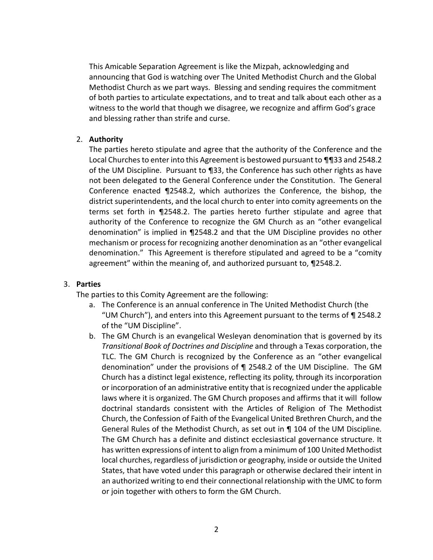This Amicable Separation Agreement is like the Mizpah, acknowledging and announcing that God is watching over The United Methodist Church and the Global Methodist Church as we part ways. Blessing and sending requires the commitment of both parties to articulate expectations, and to treat and talk about each other as a witness to the world that though we disagree, we recognize and affirm God's grace and blessing rather than strife and curse.

#### 2. **Authority**

The parties hereto stipulate and agree that the authority of the Conference and the Local Churches to enter into this Agreement is bestowed pursuant to ¶¶33 and 2548.2 of the UM Discipline. Pursuant to ¶33, the Conference has such other rights as have not been delegated to the General Conference under the Constitution. The General Conference enacted ¶2548.2, which authorizes the Conference, the bishop, the district superintendents, and the local church to enter into comity agreements on the terms set forth in ¶2548.2. The parties hereto further stipulate and agree that authority of the Conference to recognize the GM Church as an "other evangelical denomination" is implied in ¶2548.2 and that the UM Discipline provides no other mechanism or process for recognizing another denomination as an "other evangelical denomination." This Agreement is therefore stipulated and agreed to be a "comity agreement" within the meaning of, and authorized pursuant to, ¶2548.2.

#### 3. **Parties**

The parties to this Comity Agreement are the following:

- a. The Conference is an annual conference in The United Methodist Church (the "UM Church"), and enters into this Agreement pursuant to the terms of ¶ 2548.2 of the "UM Discipline".
- b. The GM Church is an evangelical Wesleyan denomination that is governed by its *Transitional Book of Doctrines and Discipline* and through a Texas corporation, the TLC. The GM Church is recognized by the Conference as an "other evangelical denomination" under the provisions of ¶ 2548.2 of the UM Discipline. The GM Church has a distinct legal existence, reflecting its polity, through its incorporation or incorporation of an administrative entity that is recognized under the applicable laws where it is organized. The GM Church proposes and affirms that it will follow doctrinal standards consistent with the Articles of Religion of The Methodist Church, the Confession of Faith of the Evangelical United Brethren Church, and the General Rules of the Methodist Church, as set out in ¶ 104 of the UM Discipline*.*  The GM Church has a definite and distinct ecclesiastical governance structure. It has written expressions of intent to align from a minimum of 100 United Methodist local churches, regardless of jurisdiction or geography, inside or outside the United States, that have voted under this paragraph or otherwise declared their intent in an authorized writing to end their connectional relationship with the UMC to form or join together with others to form the GM Church.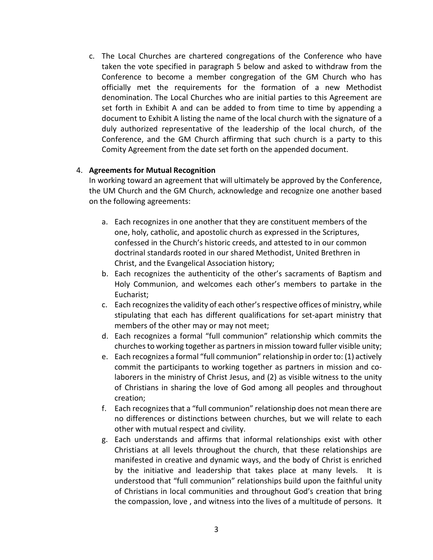c. The Local Churches are chartered congregations of the Conference who have taken the vote specified in paragraph 5 below and asked to withdraw from the Conference to become a member congregation of the GM Church who has officially met the requirements for the formation of a new Methodist denomination. The Local Churches who are initial parties to this Agreement are set forth in Exhibit A and can be added to from time to time by appending a document to Exhibit A listing the name of the local church with the signature of a duly authorized representative of the leadership of the local church, of the Conference, and the GM Church affirming that such church is a party to this Comity Agreement from the date set forth on the appended document.

#### 4. **Agreements for Mutual Recognition**

In working toward an agreement that will ultimately be approved by the Conference, the UM Church and the GM Church, acknowledge and recognize one another based on the following agreements:

- a. Each recognizes in one another that they are constituent members of the one, holy, catholic, and apostolic church as expressed in the Scriptures, confessed in the Church's historic creeds, and attested to in our common doctrinal standards rooted in our shared Methodist, United Brethren in Christ, and the Evangelical Association history;
- b. Each recognizes the authenticity of the other's sacraments of Baptism and Holy Communion, and welcomes each other's members to partake in the Eucharist;
- c. Each recognizes the validity of each other's respective offices of ministry, while stipulating that each has different qualifications for set-apart ministry that members of the other may or may not meet;
- d. Each recognizes a formal "full communion" relationship which commits the churches to working together as partners in mission toward fuller visible unity;
- e. Each recognizes a formal "full communion" relationship in order to: (1) actively commit the participants to working together as partners in mission and colaborers in the ministry of Christ Jesus, and (2) as visible witness to the unity of Christians in sharing the love of God among all peoples and throughout creation;
- f. Each recognizes that a "full communion" relationship does not mean there are no differences or distinctions between churches, but we will relate to each other with mutual respect and civility.
- g. Each understands and affirms that informal relationships exist with other Christians at all levels throughout the church, that these relationships are manifested in creative and dynamic ways, and the body of Christ is enriched by the initiative and leadership that takes place at many levels. It is understood that "full communion" relationships build upon the faithful unity of Christians in local communities and throughout God's creation that bring the compassion, love , and witness into the lives of a multitude of persons. It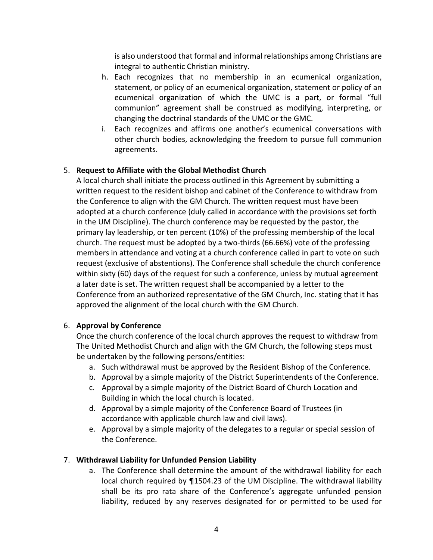is also understood that formal and informal relationships among Christians are integral to authentic Christian ministry.

- h. Each recognizes that no membership in an ecumenical organization, statement, or policy of an ecumenical organization, statement or policy of an ecumenical organization of which the UMC is a part, or formal "full communion" agreement shall be construed as modifying, interpreting, or changing the doctrinal standards of the UMC or the GMC.
- i. Each recognizes and affirms one another's ecumenical conversations with other church bodies, acknowledging the freedom to pursue full communion agreements.

## 5. **Request to Affiliate with the Global Methodist Church**

A local church shall initiate the process outlined in this Agreement by submitting a written request to the resident bishop and cabinet of the Conference to withdraw from the Conference to align with the GM Church. The written request must have been adopted at a church conference (duly called in accordance with the provisions set forth in the UM Discipline). The church conference may be requested by the pastor, the primary lay leadership, or ten percent (10%) of the professing membership of the local church. The request must be adopted by a two-thirds (66.66%) vote of the professing members in attendance and voting at a church conference called in part to vote on such request (exclusive of abstentions). The Conference shall schedule the church conference within sixty (60) days of the request for such a conference, unless by mutual agreement a later date is set. The written request shall be accompanied by a letter to the Conference from an authorized representative of the GM Church, Inc. stating that it has approved the alignment of the local church with the GM Church.

## 6. **Approval by Conference**

Once the church conference of the local church approves the request to withdraw from The United Methodist Church and align with the GM Church, the following steps must be undertaken by the following persons/entities:

- a. Such withdrawal must be approved by the Resident Bishop of the Conference.
- b. Approval by a simple majority of the District Superintendents of the Conference.
- c. Approval by a simple majority of the District Board of Church Location and Building in which the local church is located.
- d. Approval by a simple majority of the Conference Board of Trustees (in accordance with applicable church law and civil laws).
- e. Approval by a simple majority of the delegates to a regular or special session of the Conference.

## 7. **Withdrawal Liability for Unfunded Pension Liability**

a. The Conference shall determine the amount of the withdrawal liability for each local church required by ¶1504.23 of the UM Discipline. The withdrawal liability shall be its pro rata share of the Conference's aggregate unfunded pension liability, reduced by any reserves designated for or permitted to be used for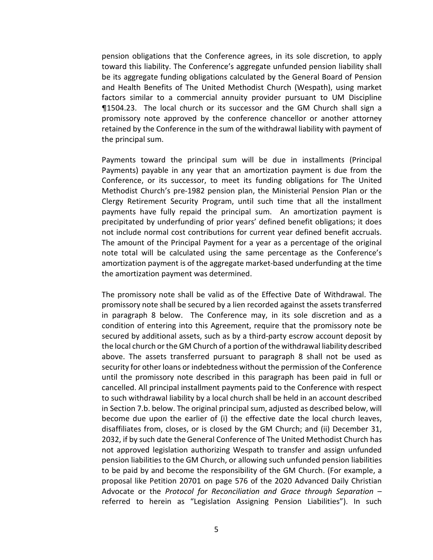pension obligations that the Conference agrees, in its sole discretion, to apply toward this liability. The Conference's aggregate unfunded pension liability shall be its aggregate funding obligations calculated by the General Board of Pension and Health Benefits of The United Methodist Church (Wespath), using market factors similar to a commercial annuity provider pursuant to UM Discipline ¶1504.23. The local church or its successor and the GM Church shall sign a promissory note approved by the conference chancellor or another attorney retained by the Conference in the sum of the withdrawal liability with payment of the principal sum.

Payments toward the principal sum will be due in installments (Principal Payments) payable in any year that an amortization payment is due from the Conference, or its successor, to meet its funding obligations for The United Methodist Church's pre-1982 pension plan, the Ministerial Pension Plan or the Clergy Retirement Security Program, until such time that all the installment payments have fully repaid the principal sum. An amortization payment is precipitated by underfunding of prior years' defined benefit obligations; it does not include normal cost contributions for current year defined benefit accruals. The amount of the Principal Payment for a year as a percentage of the original note total will be calculated using the same percentage as the Conference's amortization payment is of the aggregate market-based underfunding at the time the amortization payment was determined.

The promissory note shall be valid as of the Effective Date of Withdrawal. The promissory note shall be secured by a lien recorded against the assets transferred in paragraph 8 below. The Conference may, in its sole discretion and as a condition of entering into this Agreement, require that the promissory note be secured by additional assets, such as by a third-party escrow account deposit by the local church or the GM Church of a portion of the withdrawal liability described above. The assets transferred pursuant to paragraph 8 shall not be used as security for other loans or indebtedness without the permission of the Conference until the promissory note described in this paragraph has been paid in full or cancelled. All principal installment payments paid to the Conference with respect to such withdrawal liability by a local church shall be held in an account described in Section 7.b. below. The original principal sum, adjusted as described below, will become due upon the earlier of (i) the effective date the local church leaves, disaffiliates from, closes, or is closed by the GM Church; and (ii) December 31, 2032, if by such date the General Conference of The United Methodist Church has not approved legislation authorizing Wespath to transfer and assign unfunded pension liabilities to the GM Church, or allowing such unfunded pension liabilities to be paid by and become the responsibility of the GM Church. (For example, a proposal like Petition 20701 on page 576 of the 2020 Advanced Daily Christian Advocate or the *Protocol for Reconciliation and Grace through Separation* – referred to herein as "Legislation Assigning Pension Liabilities"). In such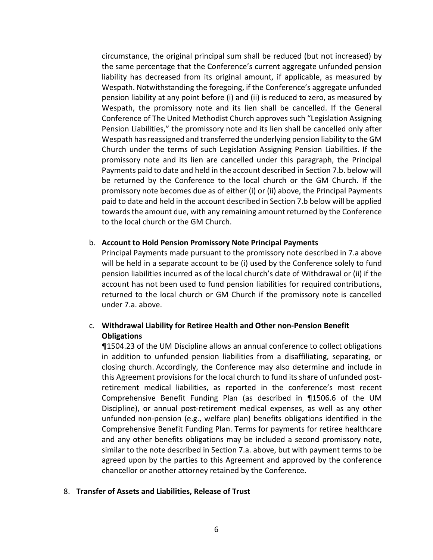circumstance, the original principal sum shall be reduced (but not increased) by the same percentage that the Conference's current aggregate unfunded pension liability has decreased from its original amount, if applicable, as measured by Wespath. Notwithstanding the foregoing, if the Conference's aggregate unfunded pension liability at any point before (i) and (ii) is reduced to zero, as measured by Wespath, the promissory note and its lien shall be cancelled. If the General Conference of The United Methodist Church approves such "Legislation Assigning Pension Liabilities," the promissory note and its lien shall be cancelled only after Wespath has reassigned and transferred the underlying pension liability to the GM Church under the terms of such Legislation Assigning Pension Liabilities. If the promissory note and its lien are cancelled under this paragraph, the Principal Payments paid to date and held in the account described in Section 7.b. below will be returned by the Conference to the local church or the GM Church. If the promissory note becomes due as of either (i) or (ii) above, the Principal Payments paid to date and held in the account described in Section 7.b below will be applied towards the amount due, with any remaining amount returned by the Conference to the local church or the GM Church.

#### b. **Account to Hold Pension Promissory Note Principal Payments**

Principal Payments made pursuant to the promissory note described in 7.a above will be held in a separate account to be (i) used by the Conference solely to fund pension liabilities incurred as of the local church's date of Withdrawal or (ii) if the account has not been used to fund pension liabilities for required contributions, returned to the local church or GM Church if the promissory note is cancelled under 7.a. above.

## c. **Withdrawal Liability for Retiree Health and Other non-Pension Benefit Obligations**

¶1504.23 of the UM Discipline allows an annual conference to collect obligations in addition to unfunded pension liabilities from a disaffiliating, separating, or closing church. Accordingly, the Conference may also determine and include in this Agreement provisions for the local church to fund its share of unfunded postretirement medical liabilities, as reported in the conference's most recent Comprehensive Benefit Funding Plan (as described in ¶1506.6 of the UM Discipline), or annual post-retirement medical expenses, as well as any other unfunded non-pension (e.g., welfare plan) benefits obligations identified in the Comprehensive Benefit Funding Plan. Terms for payments for retiree healthcare and any other benefits obligations may be included a second promissory note, similar to the note described in Section 7.a. above, but with payment terms to be agreed upon by the parties to this Agreement and approved by the conference chancellor or another attorney retained by the Conference.

#### 8. **Transfer of Assets and Liabilities, Release of Trust**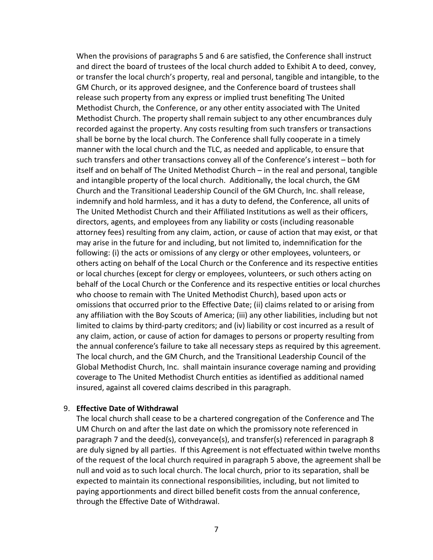When the provisions of paragraphs 5 and 6 are satisfied, the Conference shall instruct and direct the board of trustees of the local church added to Exhibit A to deed, convey, or transfer the local church's property, real and personal, tangible and intangible, to the GM Church, or its approved designee, and the Conference board of trustees shall release such property from any express or implied trust benefiting The United Methodist Church, the Conference, or any other entity associated with The United Methodist Church. The property shall remain subject to any other encumbrances duly recorded against the property. Any costs resulting from such transfers or transactions shall be borne by the local church. The Conference shall fully cooperate in a timely manner with the local church and the TLC, as needed and applicable, to ensure that such transfers and other transactions convey all of the Conference's interest – both for itself and on behalf of The United Methodist Church – in the real and personal, tangible and intangible property of the local church. Additionally, the local church, the GM Church and the Transitional Leadership Council of the GM Church, Inc. shall release, indemnify and hold harmless, and it has a duty to defend, the Conference, all units of The United Methodist Church and their Affiliated Institutions as well as their officers, directors, agents, and employees from any liability or costs (including reasonable attorney fees) resulting from any claim, action, or cause of action that may exist, or that may arise in the future for and including, but not limited to, indemnification for the following: (i) the acts or omissions of any clergy or other employees, volunteers, or others acting on behalf of the Local Church or the Conference and its respective entities or local churches (except for clergy or employees, volunteers, or such others acting on behalf of the Local Church or the Conference and its respective entities or local churches who choose to remain with The United Methodist Church), based upon acts or omissions that occurred prior to the Effective Date; (ii) claims related to or arising from any affiliation with the Boy Scouts of America; (iii) any other liabilities, including but not limited to claims by third-party creditors; and (iv) liability or cost incurred as a result of any claim, action, or cause of action for damages to persons or property resulting from the annual conference's failure to take all necessary steps as required by this agreement. The local church, and the GM Church, and the Transitional Leadership Council of the Global Methodist Church, Inc. shall maintain insurance coverage naming and providing coverage to The United Methodist Church entities as identified as additional named insured, against all covered claims described in this paragraph.

#### 9. **Effective Date of Withdrawal**

The local church shall cease to be a chartered congregation of the Conference and The UM Church on and after the last date on which the promissory note referenced in paragraph 7 and the deed(s), conveyance(s), and transfer(s) referenced in paragraph 8 are duly signed by all parties. If this Agreement is not effectuated within twelve months of the request of the local church required in paragraph 5 above, the agreement shall be null and void as to such local church. The local church, prior to its separation, shall be expected to maintain its connectional responsibilities, including, but not limited to paying apportionments and direct billed benefit costs from the annual conference, through the Effective Date of Withdrawal.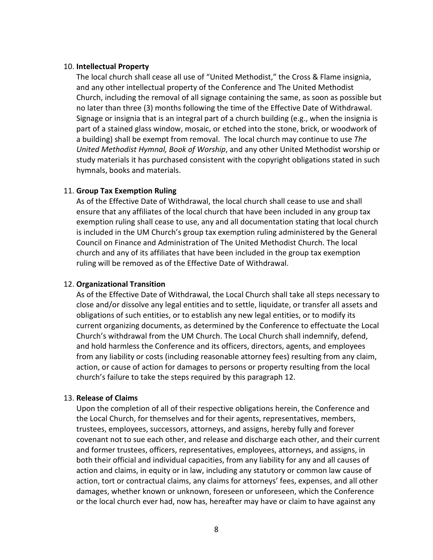#### 10. **Intellectual Property**

The local church shall cease all use of "United Methodist," the Cross & Flame insignia, and any other intellectual property of the Conference and The United Methodist Church, including the removal of all signage containing the same, as soon as possible but no later than three (3) months following the time of the Effective Date of Withdrawal. Signage or insignia that is an integral part of a church building (e.g., when the insignia is part of a stained glass window, mosaic, or etched into the stone, brick, or woodwork of a building) shall be exempt from removal. The local church may continue to use *The United Methodist Hymnal, Book of Worship*, and any other United Methodist worship or study materials it has purchased consistent with the copyright obligations stated in such hymnals, books and materials.

#### 11. **Group Tax Exemption Ruling**

As of the Effective Date of Withdrawal, the local church shall cease to use and shall ensure that any affiliates of the local church that have been included in any group tax exemption ruling shall cease to use, any and all documentation stating that local church is included in the UM Church's group tax exemption ruling administered by the General Council on Finance and Administration of The United Methodist Church. The local church and any of its affiliates that have been included in the group tax exemption ruling will be removed as of the Effective Date of Withdrawal.

#### 12. **Organizational Transition**

As of the Effective Date of Withdrawal, the Local Church shall take all steps necessary to close and/or dissolve any legal entities and to settle, liquidate, or transfer all assets and obligations of such entities, or to establish any new legal entities, or to modify its current organizing documents, as determined by the Conference to effectuate the Local Church's withdrawal from the UM Church. The Local Church shall indemnify, defend, and hold harmless the Conference and its officers, directors, agents, and employees from any liability or costs (including reasonable attorney fees) resulting from any claim, action, or cause of action for damages to persons or property resulting from the local church's failure to take the steps required by this paragraph 12.

#### 13. **Release of Claims**

Upon the completion of all of their respective obligations herein, the Conference and the Local Church, for themselves and for their agents, representatives, members, trustees, employees, successors, attorneys, and assigns, hereby fully and forever covenant not to sue each other, and release and discharge each other, and their current and former trustees, officers, representatives, employees, attorneys, and assigns, in both their official and individual capacities, from any liability for any and all causes of action and claims, in equity or in law, including any statutory or common law cause of action, tort or contractual claims, any claims for attorneys' fees, expenses, and all other damages, whether known or unknown, foreseen or unforeseen, which the Conference or the local church ever had, now has, hereafter may have or claim to have against any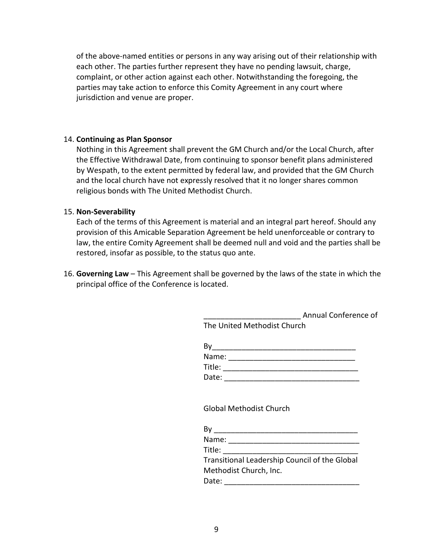of the above-named entities or persons in any way arising out of their relationship with each other. The parties further represent they have no pending lawsuit, charge, complaint, or other action against each other. Notwithstanding the foregoing, the parties may take action to enforce this Comity Agreement in any court where jurisdiction and venue are proper.

#### 14. **Continuing as Plan Sponsor**

Nothing in this Agreement shall prevent the GM Church and/or the Local Church, after the Effective Withdrawal Date, from continuing to sponsor benefit plans administered by Wespath, to the extent permitted by federal law, and provided that the GM Church and the local church have not expressly resolved that it no longer shares common religious bonds with The United Methodist Church.

### 15. **Non-Severability**

Each of the terms of this Agreement is material and an integral part hereof. Should any provision of this Amicable Separation Agreement be held unenforceable or contrary to law, the entire Comity Agreement shall be deemed null and void and the parties shall be restored, insofar as possible, to the status quo ante.

16. **Governing Law** – This Agreement shall be governed by the laws of the state in which the principal office of the Conference is located.

> \_\_\_\_\_\_\_\_\_\_\_\_\_\_\_\_\_\_\_\_\_\_\_ Annual Conference of The United Methodist Church

| Name:  |  |
|--------|--|
| Title: |  |
| Date:  |  |

Global Methodist Church

| By                                            |
|-----------------------------------------------|
| Name:                                         |
| Title:                                        |
| Transitional Leadership Council of the Global |
| Methodist Church, Inc.                        |
| Date:                                         |